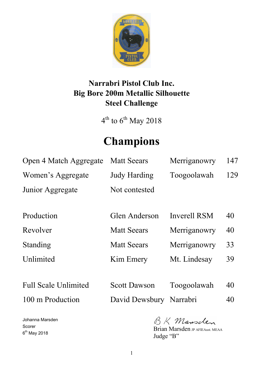

# **Narrabri Pistol Club Inc. Big Bore 200m Metallic Silhouette Steel Challenge**

 $4^{\text{th}}$  to  $6^{\text{th}}$  May 2018

# **Champions**

| Open 4 Match Aggregate      | <b>Matt Seears</b>  | Merriganowry        | 147 |
|-----------------------------|---------------------|---------------------|-----|
| Women's Aggregate           | <b>Judy Harding</b> | Toogoolawah         | 129 |
| Junior Aggregate            | Not contested       |                     |     |
|                             |                     |                     |     |
| Production                  | Glen Anderson       | <b>Inverell RSM</b> | 40  |
| Revolver                    | <b>Matt Seears</b>  | Merriganowry        | 40  |
| Standing                    | <b>Matt Seears</b>  | Merriganowry        | 33  |
| Unlimited                   | Kim Emery           | Mt. Lindesay        | 39  |
|                             |                     |                     |     |
| <b>Full Scale Unlimited</b> | <b>Scott Dawson</b> | Toogoolawah         | 40  |

100 m Production David Dewsbury Narrabri 40

Johanna Marsden Scorer 6<sup>th</sup> May 2018

BK Mansclen

Brian Marsden JP AFIEAust. MEAA Judge "B"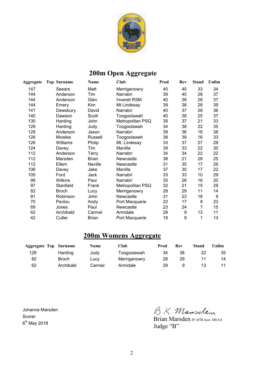

# **200m Open Aggregate**

| <b>Aggregate</b> | <b>Top Surname</b> | Name         | Club                | Prod | Rev | <b>Stand</b> | Unlim |
|------------------|--------------------|--------------|---------------------|------|-----|--------------|-------|
| 147              | Seears             | Matt         | Merriganowry        | 40   | 40  | 33           | 34    |
| 144              | Anderson           | Tim          | Narrabri            | 39   | 40  | 28           | 37    |
| 144              | Anderson           | Glen         | <b>Inverell RSM</b> | 40   | 39  | 28           | 37    |
| 144              | Emery              | Kim          | Mt Lindesay         | 39   | 38  | 28           | 39    |
| 141              | Dewsbury           | David        | Narrabri            | 40   | 37  | 28           | 36    |
| 140              | Dawson             | Scott        | Toogoolawah         | 40   | 38  | 25           | 37    |
| 130              | Harding            | John         | Metropolitan PSQ    | 39   | 37  | 21           | 33    |
| 129              | Harding            | Judy         | Toogoolawah         | 34   | 38  | 22           | 35    |
| 129              | Anderson           | Jason        | Narrabri            | 39   | 36  | 16           | 38    |
| 126              | Mowles             | Russell      | Toogoolawah         | 38   | 39  | 16           | 33    |
| 126              | Williams           | Philip       | Mt. Lindesay        | 33   | 37  | 27           | 29    |
| 124              | Davey              | Tim          | Manilla             | 39   | 33  | 22           | 30    |
| 112              | Anderson           | <b>Terry</b> | Narrabri            | 34   | 34  | 22           | 22    |
| 112              | Marsden            | <b>Brian</b> | Newcastle           | 38   | 21  | 28           | 25    |
| 112              | Ellem              | Neville      | Newcastle           | 31   | 35  | 17           | 29    |
| 106              | Davey              | Jake         | Manilla             | 37   | 30  | 17           | 22    |
| 105              | Ford               | Jack         | Narrabri            | 33   | 33  | 10           | 29    |
| 99               | Wilkins            | Paul         | Narrabri            | 35   | 28  | 16           | 20    |
| 97               | Stanfield          | Frank        | Metropolitan PSQ    | 32   | 21  | 15           | 29    |
| 82               | <b>Broch</b>       | Lucy         | Merriganowry        | 28   | 29  | 11           | 14    |
| 81               | Robinson           | John         | Newcastle           | 31   | 23  | 18           | 9     |
| 70               | Pavlou             | Andy         | Port Macquarie      | 22   | 17  | 8            | 23    |
| 69               | Jones              | Paul         | Newcastle           | 23   | 24  | 7            | 15    |
| 62               | Archibald          | Carmel       | Armidale            | 29   | 9   | 13           | 11    |
| 42               | Cutler             | <b>Brian</b> | Port Macquarie      | 19   | 9   | 1            | 13    |

#### **200m Womens Aggregate**

| <b>Aggregate Top Surname</b> |           | <b>Name</b> | Club         | Prod | Rev | Stand | Unlim |
|------------------------------|-----------|-------------|--------------|------|-----|-------|-------|
| 129                          | Harding   | Judy        | Toogoolawah  | 34   | 38  | 22    | 35    |
| 82                           | Broch     | Lucy        | Merriganowry | 28   | 29  |       | 14    |
| 62                           | Archibald | Carmel      | Armidale     | 29   | 9   |       |       |

Johanna Marsden Scorer 6<sup>th</sup> May 2018

BK Mansclen

Brian Marsden JP AFIEAust. MEAA Judge "B"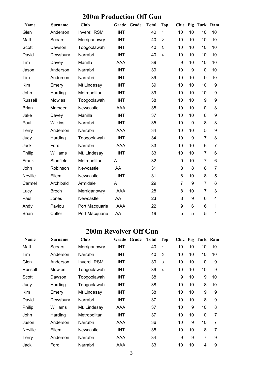# **200m Production Off Gun**

| <b>Name</b>    | <b>Surname</b> | Club                | Grade      | Grade | <b>Total</b> | Top            | Chic             |    | Pig Turk Ram   |                |
|----------------|----------------|---------------------|------------|-------|--------------|----------------|------------------|----|----------------|----------------|
| Glen           | Anderson       | <b>Inverell RSM</b> | <b>INT</b> |       | 40           | $\mathbf{1}$   | 10               | 10 | 10             | 10             |
| Matt           | Seears         | Merriganowry        | <b>INT</b> |       | 40           | $\overline{2}$ | 10               | 10 | 10             | 10             |
| Scott          | Dawson         | Toogoolawah         | <b>INT</b> |       | 40           | 3              | 10               | 10 | 10             | 10             |
| David          | Dewsbury       | Narrabri            | <b>INT</b> |       | 40           | 4              | 10               | 10 | 10             | 10             |
| Tim            | Davey          | Manilla             | <b>AAA</b> |       | 39           |                | $\boldsymbol{9}$ | 10 | 10             | 10             |
| Jason          | Anderson       | Narrabri            | <b>INT</b> |       | 39           |                | 10               | 9  | 10             | 10             |
| Tim            | Anderson       | Narrabri            | <b>INT</b> |       | 39           |                | 10               | 10 | 9              | 10             |
| Kim            | Emery          | Mt Lindesay         | <b>INT</b> |       | 39           |                | 10               | 10 | 10             | 9              |
| John           | Harding        | Metropolitan        | <b>INT</b> |       | 39           |                | 10               | 10 | 10             | 9              |
| <b>Russell</b> | Mowles         | Toogoolawah         | <b>INT</b> |       | 38           |                | 10               | 10 | 9              | 9              |
| <b>Brian</b>   | Marsden        | Newcastle           | AAA        |       | 38           |                | 10               | 10 | 10             | 8              |
| Jake           | Davey          | Manilla             | <b>INT</b> |       | 37           |                | 10               | 10 | 8              | 9              |
| Paul           | <b>Wilkins</b> | Narrabri            | <b>INT</b> |       | 35           |                | 10               | 9  | 8              | 8              |
| Terry          | Anderson       | Narrabri            | <b>AAA</b> |       | 34           |                | 10               | 10 | 5              | 9              |
| Judy           | Harding        | Toogoolawah         | <b>INT</b> |       | 34           |                | 10               | 9  | $\overline{7}$ | 8              |
| Jack           | Ford           | Narrabri            | <b>AAA</b> |       | 33           |                | 10               | 10 | 6              | $\overline{7}$ |
| Philip         | Williams       | Mt. Lindesay        | <b>INT</b> |       | 33           |                | 10               | 10 | $\overline{7}$ | 6              |
| Frank          | Stanfield      | Metropolitan        | A          |       | 32           |                | 9                | 10 | $\overline{7}$ | 6              |
| John           | Robinson       | Newcastle           | AA         |       | 31           |                | 8                | 8  | 8              | $\overline{7}$ |
| Neville        | Ellem          | Newcastle           | <b>INT</b> |       | 31           |                | 8                | 10 | 8              | 5              |
| Carmel         | Archibald      | Armidale            | A          |       | 29           |                | $\overline{7}$   | 9  | $\overline{7}$ | 6              |
| Lucy           | <b>Broch</b>   | Merriganowry        | <b>AAA</b> |       | 28           |                | 8                | 10 | 7              | 3              |
| Paul           | Jones          | Newcastle           | AA         |       | 23           |                | 8                | 9  | 6              | 4              |
| Andy           | Pavlou         | Port Macquarie      | AAA        |       | 22           |                | 9                | 6  | 6              | 1              |
| <b>Brian</b>   | Cutler         | Port Macquarie      | AA         |       | 19           |                | 5                | 5  | 5              | 4              |

#### **200m Revolver Off Gun**

| <b>Name</b>    | <b>Surname</b> | Club                | Grade      | Grade | <b>Total</b> | Top            |    |    | Chic Pig Turk Ram |    |
|----------------|----------------|---------------------|------------|-------|--------------|----------------|----|----|-------------------|----|
| Matt           | Seears         | Merriganowry        | <b>INT</b> |       | 40           | $\mathbf{1}$   | 10 | 10 | 10                | 10 |
| Tim            | Anderson       | Narrabri            | INT        |       | 40           | $\overline{2}$ | 10 | 10 | 10                | 10 |
| Glen           | Anderson       | <b>Inverell RSM</b> | <b>INT</b> |       | 39           | 3              | 10 | 10 | 10                | 9  |
| Russell        | <b>Mowles</b>  | Toogoolawah         | INT        |       | 39           | 4              | 10 | 10 | 10                | 9  |
| Scott          | Dawson         | Toogoolawah         | <b>INT</b> |       | 38           |                | 9  | 10 | 9                 | 10 |
| Judy           | Harding        | Toogoolawah         | INT        |       | 38           |                | 10 | 10 | 8                 | 10 |
| Kim            | Emery          | Mt Lindesay         | <b>INT</b> |       | 38           |                | 10 | 10 | 9                 | 9  |
| David          | Dewsbury       | Narrabri            | <b>INT</b> |       | 37           |                | 10 | 10 | 8                 | 9  |
| Philip         | Williams       | Mt. Lindesay        | AAA        |       | 37           |                | 10 | 9  | 10                | 8  |
| John           | Harding        | Metropolitan        | <b>INT</b> |       | 37           |                | 10 | 10 | 10                | 7  |
| Jason          | Anderson       | Narrabri            | AAA        |       | 36           |                | 10 | 9  | 10                | 7  |
| <b>Neville</b> | Ellem          | Newcastle           | <b>INT</b> |       | 35           |                | 10 | 10 | 8                 | 7  |
| Terry          | Anderson       | Narrabri            | AAA        |       | 34           |                | 9  | 9  | $\overline{7}$    | 9  |
| Jack           | Ford           | Narrabri            | AAA        |       | 33           |                | 10 | 10 | 4                 | 9  |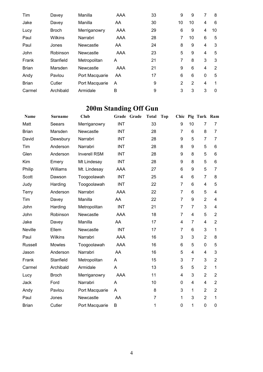| Tim          | Davey          | Manilla        | AAA | 33 | 9              | 9              | 7            | 8        |
|--------------|----------------|----------------|-----|----|----------------|----------------|--------------|----------|
| Jake         | Davey          | Manilla        | AA  | 30 | 10             | 10             | 4            | 6        |
| Lucy         | <b>Broch</b>   | Merriganowry   | AAA | 29 | 6              | 9              | 4            | 10       |
| Paul         | <b>Wilkins</b> | Narrabri       | AAA | 28 | 7              | 10             | 6            | 5        |
| Paul         | Jones          | Newcastle      | AA  | 24 | 8              | 9              | 4            | 3        |
| John         | Robinson       | Newcastle      | AAA | 23 | 5              | 9              | 4            | 5        |
| Frank        | Stanfield      | Metropolitan   | A   | 21 | 7              | 8              | 3            | 3        |
| <b>Brian</b> | Marsden        | Newcastle      | AAA | 21 | 9              | 6              | 4            | 2        |
| Andy         | Pavlou         | Port Macquarie | AA  | 17 | 6              | 6              | $\mathbf{0}$ | 5        |
| <b>Brian</b> | Cutler         | Port Macquarie | A   | 9  | $\overline{2}$ | $\overline{2}$ | 4            | 1        |
| Carmel       | Archibald      | Armidale       | B   | 9  | 3              | 3              | 3            | $\Omega$ |

# **200m Standing Off Gun**

| Name           | <b>Surname</b> | Club                |            | Grade Grade | <b>Total</b>   | <b>Top</b> | Chic           |                | Pig Turk Ram   |                |
|----------------|----------------|---------------------|------------|-------------|----------------|------------|----------------|----------------|----------------|----------------|
| Matt           | Seears         | Merriganowry        | <b>INT</b> |             | 33             |            | 9              | 10             | 7              | 7              |
| <b>Brian</b>   | Marsden        | Newcastle           | <b>INT</b> |             | 28             |            | $\overline{7}$ | 6              | 8              | 7              |
| David          | Dewsbury       | Narrabri            | <b>INT</b> |             | 28             |            | 9              | 5              | $\overline{7}$ | $\overline{7}$ |
| Tim            | Anderson       | Narrabri            | <b>INT</b> |             | 28             |            | 8              | 9              | 5              | 6              |
| Glen           | Anderson       | <b>Inverell RSM</b> | <b>INT</b> |             | 28             |            | 9              | 8              | 5              | 6              |
| Kim            | Emery          | Mt Lindesay         | INT        |             | 28             |            | 9              | 8              | 5              | 6              |
| Philip         | Williams       | Mt. Lindesay        | AAA        |             | 27             |            | 6              | 9              | 5              | $\overline{7}$ |
| Scott          | Dawson         | Toogoolawah         | <b>INT</b> |             | 25             |            | 4              | 6              | $\overline{7}$ | 8              |
| Judy           | Harding        | Toogoolawah         | <b>INT</b> |             | 22             |            | $\overline{7}$ | 6              | 4              | 5              |
| <b>Terry</b>   | Anderson       | Narrabri            | AAA        |             | 22             |            | $\overline{7}$ | 6              | 5              | 4              |
| Tim            | Davey          | Manilla             | AA         |             | 22             |            | $\overline{7}$ | 9              | $\overline{2}$ | 4              |
| John           | Harding        | Metropolitan        | <b>INT</b> |             | 21             |            | $\overline{7}$ | $\overline{7}$ | 3              | 4              |
| John           | Robinson       | Newcastle           | AAA        |             | 18             |            | $\overline{7}$ | 4              | 5              | $\overline{2}$ |
| Jake           | Davey          | Manilla             | AA         |             | 17             |            | 4              | $\overline{7}$ | 4              | $\overline{2}$ |
| <b>Neville</b> | Ellem          | Newcastle           | <b>INT</b> |             | 17             |            | $\overline{7}$ | 6              | 3              | 1              |
| Paul           | <b>Wilkins</b> | Narrabri            | AAA        |             | 16             |            | 3              | 3              | $\overline{2}$ | 8              |
| Russell        | Mowles         | Toogoolawah         | <b>AAA</b> |             | 16             |            | 6              | 5              | 0              | 5              |
| Jason          | Anderson       | Narrabri            | AA         |             | 16             |            | 5              | 4              | 4              | 3              |
| Frank          | Stanfield      | Metropolitan        | A          |             | 15             |            | 3              | $\overline{7}$ | 3              | $\overline{2}$ |
| Carmel         | Archibald      | Armidale            | A          |             | 13             |            | 5              | 5              | $\overline{2}$ | 1              |
| Lucy           | <b>Broch</b>   | Merriganowry        | <b>AAA</b> |             | 11             |            | 4              | 3              | $\overline{2}$ | $\overline{2}$ |
| Jack           | Ford           | Narrabri            | A          |             | 10             |            | 0              | 4              | 4              | $\overline{2}$ |
| Andy           | Pavlou         | Port Macquarie      | A          |             | 8              |            | 3              | 1              | $\overline{2}$ | $\overline{2}$ |
| Paul           | Jones          | Newcastle           | AA         |             | $\overline{7}$ |            | 1              | 3              | $\overline{2}$ | 1              |
| <b>Brian</b>   | Cutler         | Port Macquarie      | B          |             | 1              |            | 0              | 1              | 0              | 0              |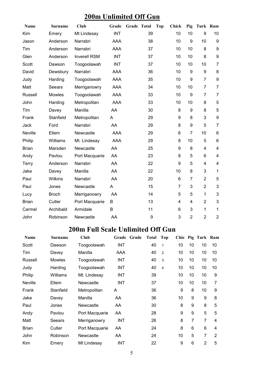## **200m Unlimited Off Gun**

| Name         | <b>Surname</b> | Club                | Grade      | Grade Total | <b>Chick</b><br><b>Top</b> | Pig                    |                | Turk Ram                |
|--------------|----------------|---------------------|------------|-------------|----------------------------|------------------------|----------------|-------------------------|
| Kim          | Emery          | Mt Lindesay         | <b>INT</b> | 39          |                            | 10<br>10               | 9              | 10                      |
| Jason        | Anderson       | Narrabri            | <b>AAA</b> | 38          |                            | 9<br>10                | 10             | $\boldsymbol{9}$        |
| Tim          | Anderson       | Narrabri            | <b>AAA</b> | 37          |                            | 10<br>10               | 8              | $\boldsymbol{9}$        |
| Glen         | Anderson       | <b>Inverell RSM</b> | <b>INT</b> | 37          |                            | 10<br>10               | 8              | 9                       |
| Scott        | Dawson         | Toogoolawah         | <b>INT</b> | 37          |                            | 10<br>10               | 10             | $\overline{7}$          |
| David        | Dewsbury       | Narrabri            | <b>AAA</b> | 36          |                            | 10<br>9                | 9              | 8                       |
| Judy         | Harding        | Toogoolawah         | AAA        | 35          |                            | 10<br>9                | $\overline{7}$ | $\boldsymbol{9}$        |
| Matt         | Seears         | Merriganowry        | <b>AAA</b> | 34          |                            | 10<br>10               | $\overline{7}$ | $\overline{7}$          |
| Russell      | Mowles         | Toogoolawah         | <b>AAA</b> | 33          |                            | $\boldsymbol{9}$<br>10 | $\overline{7}$ | $\overline{7}$          |
| John         | Harding        | Metropolitan        | AAA        | 33          |                            | 10<br>10               | 8              | 5                       |
| Tim          | Davey          | Manilla             | AA         | 30          |                            | 8<br>$\boldsymbol{9}$  | 8              | 5                       |
| Frank        | Stanfield      | Metropolitan        | A          | 29          |                            | 9<br>8                 | 3              | $\boldsymbol{9}$        |
| Jack         | Ford           | Narrabri            | AA         | 29          |                            | 8<br>9                 | 5              | $\overline{7}$          |
| Neville      | Ellem          | Newcastle           | <b>AAA</b> | 29          |                            | 6<br>$\overline{7}$    | 10             | $\,6$                   |
| Philip       | Williams       | Mt. Lindesay        | <b>AAA</b> | 29          |                            | 8<br>10                | 5              | $\,6$                   |
| <b>Brian</b> | Marsden        | Newcastle           | AA         | 25          |                            | 9<br>8                 | 4              | $\overline{\mathbf{4}}$ |
| Andy         | Pavlou         | Port Macquarie      | AA         | 23          |                            | 8<br>5                 | 6              | $\overline{\mathbf{4}}$ |
| Terry        | Anderson       | Narrabri            | AA         | 22          |                            | 9<br>5                 | $\overline{4}$ | $\overline{\mathbf{4}}$ |
| Jake         | Davey          | Manilla             | AA         | 22          |                            | 10<br>8                | 3              | $\mathbf 1$             |
| Paul         | Wilkins        | Narrabri            | AA         | 20          |                            | 6<br>$\overline{7}$    | $\overline{2}$ | 5                       |
| Paul         | Jones          | Newcastle           | A          | 15          |                            | $\overline{7}$<br>3    | $\overline{2}$ | 3                       |
| Lucy         | <b>Broch</b>   | Merriganowry        | AA         | 14          |                            | 5<br>5                 | $\mathbf{1}$   | 3                       |
| <b>Brian</b> | Cutler         | Port Macquarie      | B          | 13          |                            | $\overline{4}$<br>4    | $\overline{2}$ | 3                       |
| Carmel       | Archibald      | Armidale            | B          | 11          |                            | 3<br>6                 | $\mathbf{1}$   | $\mathbf 1$             |
| John         | Robinson       | Newcastle           | AA         | 9           |                            | 3<br>$\overline{2}$    | $\overline{2}$ | $\boldsymbol{2}$        |

### **200m Full Scale Unlimited Off Gun**

| <b>Name</b>    | <b>Surname</b> | Club           | Grade      | Grade | <b>Total</b> | Top            |    |    | Chic Pig Turk Ram |    |
|----------------|----------------|----------------|------------|-------|--------------|----------------|----|----|-------------------|----|
| Scott          | Dawson         | Toogoolawah    | <b>INT</b> |       | 40           | 1              | 10 | 10 | 10                | 10 |
| Tim            | Davey          | Manilla        | AAA        |       | 40           | 2              | 10 | 10 | 10                | 10 |
| Russell        | <b>Mowles</b>  | Toogoolawah    | INT        |       | 40           | 3              | 10 | 10 | 10                | 10 |
| Judy           | Harding        | Toogoolawah    | <b>INT</b> |       | 40           | $\overline{4}$ | 10 | 10 | 10                | 10 |
| Philip         | Williams       | Mt. Lindesay   | <b>INT</b> |       | 39           |                | 10 | 10 | 10                | 9  |
| <b>Neville</b> | Ellem          | Newcastle      | <b>INT</b> |       | 37           |                | 10 | 10 | 10                | 7  |
| Frank          | Stanfield      | Metropolitan   | A          |       | 36           |                | 9  | 8  | 10                | 9  |
| Jake           | Davey          | Manilla        | AA         |       | 36           |                | 10 | 9  | 9                 | 8  |
| Paul           | Jones          | Newcastle      | AA         |       | 30           |                | 8  | 9  | 8                 | 5  |
| Andy           | Pavlou         | Port Macquarie | AA         |       | 28           |                | 9  | 9  | 5                 | 5  |
| Matt           | Seears         | Merriganowry   | INT        |       | 26           |                | 8  | 7  | 7                 | 4  |
| <b>Brian</b>   | Cutler         | Port Macquarie | AA         |       | 24           |                | 8  | 6  | 6                 | 4  |
| John           | Robinson       | Newcastle      | AA         |       | 24           |                | 10 | 5  | 7                 | 2  |
| Kim            | Emery          | Mt Lindesay    | INT        |       | 22           |                | 9  | 6  | $\overline{2}$    | 5  |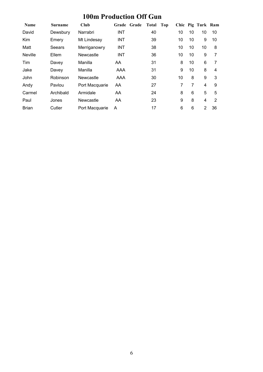# **100m Production Off Gun**

| <b>Name</b>    | <b>Surname</b> | Club           | Grade      | Grade | Total | Top |    |    | Chic Pig Turk Ram |    |
|----------------|----------------|----------------|------------|-------|-------|-----|----|----|-------------------|----|
| David          | Dewsbury       | Narrabri       | <b>INT</b> |       | 40    |     | 10 | 10 | 10                | 10 |
| Kim            | Emery          | Mt Lindesay    | <b>INT</b> |       | 39    |     | 10 | 10 | 9                 | 10 |
| Matt           | Seears         | Merriganowry   | <b>INT</b> |       | 38    |     | 10 | 10 | 10                | 8  |
| <b>Neville</b> | Ellem          | Newcastle      | INT        |       | 36    |     | 10 | 10 | 9                 | 7  |
| Tim            | Davey          | Manilla        | AA.        |       | 31    |     | 8  | 10 | 6                 | 7  |
| Jake           | Davey          | Manilla        | AAA        |       | 31    |     | 9  | 10 | 8                 | 4  |
| John           | Robinson       | Newcastle      | AAA        |       | 30    |     | 10 | 8  | 9                 | 3  |
| Andy           | Pavlou         | Port Macquarie | AA         |       | 27    |     | 7  | 7  | 4                 | 9  |
| Carmel         | Archibald      | Armidale       | AA         |       | 24    |     | 8  | 6  | 5                 | 5  |
| Paul           | Jones          | Newcastle      | AA         |       | 23    |     | 9  | 8  | 4                 | 2  |
| <b>Brian</b>   | Cutler         | Port Macquarie | A          |       | 17    |     | 6  | 6  | 2                 | 36 |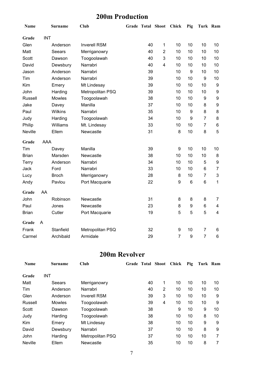## **200m Production**

| Name           |            | <b>Surname</b> | <b>Club</b>         |    | Grade Total Shoot Chick |                  | Pig             | Turk Ram       |                |
|----------------|------------|----------------|---------------------|----|-------------------------|------------------|-----------------|----------------|----------------|
| Grade          | <b>INT</b> |                |                     |    |                         |                  |                 |                |                |
| Glen           |            | Anderson       | <b>Inverell RSM</b> | 40 | $\mathbf{1}$            | 10               | 10              | 10             | 10             |
| Matt           |            | Seears         | Merriganowry        | 40 | $\overline{2}$          | 10               | 10              | 10             | 10             |
| Scott          |            | Dawson         | Toogoolawah         | 40 | 3                       | 10               | 10              | 10             | 10             |
| David          |            | Dewsbury       | Narrabri            | 40 | 4                       | 10               | 10              | 10             | 10             |
| Jason          |            | Anderson       | Narrabri            | 39 |                         | 10               | 9               | 10             | 10             |
| Tim            |            | Anderson       | Narrabri            | 39 |                         | 10               | 10              | 9              | 10             |
| Kim            |            | Emery          | Mt Lindesay         | 39 |                         | 10               | 10              | 10             | 9              |
| John           |            | Harding        | Metropolitan PSQ    | 39 |                         | 10               | 10              | 10             | 9              |
| <b>Russell</b> |            | Mowles         | Toogoolawah         | 38 |                         | 10               | 10              | 9              | 9              |
| Jake           |            | Davey          | Manilla             | 37 |                         | 10               | 10              | 8              | 9              |
| Paul           |            | <b>Wilkins</b> | Narrabri            | 35 |                         | 10               | 9               | 8              | 8              |
| Judy           |            | Harding        | Toogoolawah         | 34 |                         | 10               | 9               | $\overline{7}$ | 8              |
| Philip         |            | Williams       | Mt. Lindesay        | 33 |                         | 10               | 10              | $\overline{7}$ | 6              |
| Neville        |            | Ellem          | Newcastle           | 31 |                         | 8                | 10              | 8              | 5              |
| Grade          | <b>AAA</b> |                |                     |    |                         |                  |                 |                |                |
| Tim            |            | Davey          | Manilla             | 39 |                         | 9                | 10              | 10             | 10             |
| <b>Brian</b>   |            | Marsden        | Newcastle           | 38 |                         | 10               | 10              | 10             | 8              |
| Terry          |            | Anderson       | Narrabri            | 34 |                         | 10               | 10              | 5              | 9              |
| Jack           |            | Ford           | Narrabri            | 33 |                         | 10               | 10              | 6              | $\overline{7}$ |
| Lucy           |            | <b>Broch</b>   | Merriganowry        | 28 |                         | 8                | 10              | $\overline{7}$ | 3              |
| Andy           |            | Pavlou         | Port Macquarie      | 22 |                         | $\boldsymbol{9}$ | $6\phantom{1}6$ | 6              | 1              |
| Grade          | AA         |                |                     |    |                         |                  |                 |                |                |
| John           |            | Robinson       | Newcastle           | 31 |                         | 8                | 8               | 8              | $\overline{7}$ |
| Paul           |            | Jones          | Newcastle           | 23 |                         | 8                | 9               | 6              | 4              |
| <b>Brian</b>   |            | Cutler         | Port Macquarie      | 19 |                         | 5                | 5               | 5              | $\overline{4}$ |
| Grade          | A          |                |                     |    |                         |                  |                 |                |                |
| Frank          |            | Stanfield      | Metropolitan PSQ    | 32 |                         | 9                | 10              | $\overline{7}$ | 6              |
| Carmel         |            | Archibald      | Armidale            | 29 |                         | $\overline{7}$   | 9               | $\overline{7}$ | $6\phantom{1}$ |

#### **200m Revolver**

| <b>Name</b>    | Surname       | Club                | Grade Total Shoot |                | <b>Chick</b> | Pig | Turk Ram |    |
|----------------|---------------|---------------------|-------------------|----------------|--------------|-----|----------|----|
| Grade          | <b>INT</b>    |                     |                   |                |              |     |          |    |
| Matt           | Seears        | Merriganowry        | 40                | 1              | 10           | 10  | 10       | 10 |
| Tim            | Anderson      | Narrabri            | 40                | $\overline{2}$ | 10           | 10  | 10       | 10 |
| Glen           | Anderson      | <b>Inverell RSM</b> | 39                | 3              | 10           | 10  | 10       | 9  |
| Russell        | <b>Mowles</b> | Toogoolawah         | 39                | 4              | 10           | 10  | 10       | 9  |
| Scott          | Dawson        | Toogoolawah         | 38                |                | 9            | 10  | 9        | 10 |
| Judy           | Harding       | Toogoolawah         | 38                |                | 10           | 10  | 8        | 10 |
| Kim            | Emery         | Mt Lindesay         | 38                |                | 10           | 10  | 9        | 9  |
| David          | Dewsbury      | Narrabri            | 37                |                | 10           | 10  | 8        | 9  |
| <b>John</b>    | Harding       | Metropolitan PSQ    | 37                |                | 10           | 10  | 10       | 7  |
| <b>Neville</b> | Ellem         | Newcastle           | 35                |                | 10           | 10  | 8        | 7  |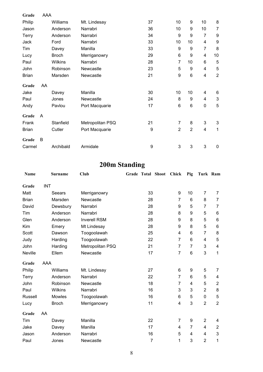| Grade        | AAA |                |                  |                  |                |                |                |                           |
|--------------|-----|----------------|------------------|------------------|----------------|----------------|----------------|---------------------------|
| Philip       |     | Williams       | Mt. Lindesay     | 37               | 10             | 9              | 10             | 8                         |
| Jason        |     | Anderson       | Narrabri         | 36               | 10             | 9              | 10             | $\overline{7}$            |
| <b>Terry</b> |     | Anderson       | Narrabri         | 34               | 9              | 9              | $\overline{7}$ | 9                         |
| Jack         |     | Ford           | Narrabri         | 33               | 10             | 10             | 4              | 9                         |
| Tim          |     | Davey          | Manilla          | 33               | 9              | 9              | $\overline{7}$ | 8                         |
| Lucy         |     | <b>Broch</b>   | Merriganowry     | 29               | 6              | 9              | 4              | 10                        |
| Paul         |     | <b>Wilkins</b> | Narrabri         | 28               | $\overline{7}$ | 10             | 6              | 5                         |
| John         |     | Robinson       | Newcastle        | 23               | 5              | 9              | 4              | 5                         |
| <b>Brian</b> |     | Marsden        | Newcastle        | 21               | 9              | 6              | 4              | $\overline{2}$            |
| Grade        | AA  |                |                  |                  |                |                |                |                           |
| Jake         |     | Davey          | Manilla          | 30               | 10             | 10             | 4              | 6                         |
| Paul         |     | Jones          | Newcastle        | 24               | 8              | 9              | 4              | $\ensuremath{\mathsf{3}}$ |
| Andy         |     | Pavlou         | Port Macquarie   | 17               | 6              | 6              | $\mathbf 0$    | 5                         |
| Grade        | A   |                |                  |                  |                |                |                |                           |
| Frank        |     | Stanfield      | Metropolitan PSQ | 21               | $\overline{7}$ | 8              | 3              | $\sqrt{3}$                |
| <b>Brian</b> |     | Cutler         | Port Macquarie   | $\boldsymbol{9}$ | $\overline{2}$ | $\overline{2}$ | 4              | 1                         |
| Grade        | B   |                |                  |                  |                |                |                |                           |
| Carmel       |     | Archibald      | Armidale         | 9                | 3              | 3              | 3              | $\mathbf 0$               |

# **200m Standing**

| Name           |            | <b>Surname</b> | Club                |                | <b>Grade Total Shoot</b> | <b>Chick</b>   | Pig            | Turk Ram       |                |
|----------------|------------|----------------|---------------------|----------------|--------------------------|----------------|----------------|----------------|----------------|
| Grade          | <b>INT</b> |                |                     |                |                          |                |                |                |                |
| Matt           |            | Seears         | Merriganowry        | 33             |                          | 9              | 10             | 7              | 7              |
| <b>Brian</b>   |            | Marsden        | Newcastle           | 28             |                          | 7              | 6              | 8              | $\overline{7}$ |
| David          |            | Dewsbury       | Narrabri            | 28             |                          | 9              | 5              | $\overline{7}$ | 7              |
| Tim            |            | Anderson       | Narrabri            | 28             |                          | 8              | 9              | 5              | 6              |
| Glen           |            | Anderson       | <b>Inverell RSM</b> | 28             |                          | 9              | 8              | 5              | $\,6$          |
| Kim            |            | Emery          | Mt Lindesay         | 28             |                          | 9              | 8              | 5              | 6              |
| Scott          |            | Dawson         | Toogoolawah         | 25             |                          | 4              | 6              | $\overline{7}$ | 8              |
| Judy           |            | Harding        | Toogoolawah         | 22             |                          | $\overline{7}$ | 6              | 4              | 5              |
| John           |            | Harding        | Metropolitan PSQ    | 21             |                          | $\overline{7}$ | $\overline{7}$ | 3              | 4              |
| Neville        |            | Ellem          | Newcastle           | 17             |                          | $\overline{7}$ | $6\phantom{1}$ | 3              | 1              |
| Grade          | AAA        |                |                     |                |                          |                |                |                |                |
| Philip         |            | Williams       | Mt. Lindesay        | 27             |                          | 6              | 9              | 5              | $\overline{7}$ |
| <b>Terry</b>   |            | Anderson       | Narrabri            | 22             |                          | $\overline{7}$ | 6              | 5              | 4              |
| John           |            | Robinson       | Newcastle           | 18             |                          | 7              | 4              | 5              | $\sqrt{2}$     |
| Paul           |            | Wilkins        | Narrabri            | 16             |                          | 3              | 3              | $\overline{2}$ | 8              |
| <b>Russell</b> |            | Mowles         | Toogoolawah         | 16             |                          | 6              | 5              | 0              | $\mathbf 5$    |
| Lucy           |            | <b>Broch</b>   | Merriganowry        | 11             |                          | 4              | 3              | $\overline{2}$ | $\overline{2}$ |
| Grade          | AA         |                |                     |                |                          |                |                |                |                |
| Tim            |            | Davey          | Manilla             | 22             |                          | 7              | 9              | $\overline{2}$ | 4              |
| Jake           |            | Davey          | Manilla             | 17             |                          | 4              | 7              | 4              | $\overline{2}$ |
| Jason          |            | Anderson       | Narrabri            | 16             |                          | 5              | 4              | 4              | 3              |
| Paul           |            | Jones          | Newcastle           | $\overline{7}$ |                          | 1              | 3              | $\overline{2}$ | 1              |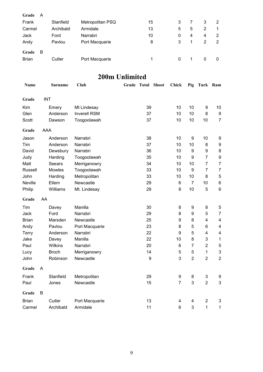| Grade        | A |           |                  |    |   |   |   |   |
|--------------|---|-----------|------------------|----|---|---|---|---|
| Frank        |   | Stanfield | Metropolitan PSQ | 15 | 3 |   | 3 | 2 |
| Carmel       |   | Archibald | Armidale         | 13 | 5 | 5 | 2 |   |
| Jack         |   | Ford      | Narrabri         | 10 | 0 | 4 | 4 | 2 |
| Andy         |   | Pavlou    | Port Macquarie   | 8  | 3 |   | 2 | 2 |
| Grade        | B |           |                  |    |   |   |   |   |
| <b>Brian</b> |   | Cutler    | Port Macquarie   |    | 0 |   | 0 | 0 |

## **200m Unlimited**

| Name           |            | <b>Surname</b> | <b>Club</b>         | Grade Total Shoot |    | <b>Chick</b>   | Pig              | Turk Ram                |                         |
|----------------|------------|----------------|---------------------|-------------------|----|----------------|------------------|-------------------------|-------------------------|
| Grade          | <b>INT</b> |                |                     |                   |    |                |                  |                         |                         |
| Kim            |            | Emery          | Mt Lindesay         |                   | 39 | 10             | 10               | $\boldsymbol{9}$        | 10                      |
| Glen           |            | Anderson       | <b>Inverell RSM</b> |                   | 37 | 10             | 10               | 8                       | $\boldsymbol{9}$        |
| Scott          |            | Dawson         | Toogoolawah         |                   | 37 | 10             | 10               | 10                      | $\overline{7}$          |
| Grade          | AAA        |                |                     |                   |    |                |                  |                         |                         |
| Jason          |            | Anderson       | Narrabri            |                   | 38 | 10             | $\boldsymbol{9}$ | 10                      | 9                       |
| Tim            |            | Anderson       | Narrabri            |                   | 37 | 10             | 10               | 8                       | $\boldsymbol{9}$        |
| David          |            | Dewsbury       | Narrabri            |                   | 36 | 10             | $\boldsymbol{9}$ | 9                       | 8                       |
| Judy           |            | Harding        | Toogoolawah         |                   | 35 | 10             | 9                | $\overline{7}$          | 9                       |
| Matt           |            | Seears         | Merriganowry        |                   | 34 | 10             | 10               | $\overline{7}$          | $\overline{7}$          |
| <b>Russell</b> |            | <b>Mowles</b>  | Toogoolawah         |                   | 33 | 10             | $\boldsymbol{9}$ | $\overline{7}$          | $\overline{7}$          |
| John           |            | Harding        | Metropolitan        |                   | 33 | 10             | 10               | 8                       | 5                       |
| <b>Neville</b> |            | Ellem          | Newcastle           |                   | 29 | $\,6\,$        | $\overline{7}$   | 10                      | $\,6$                   |
| Philip         |            | Williams       | Mt. Lindesay        |                   | 29 | 8              | 10               | 5                       | $\,6$                   |
| Grade          | AA         |                |                     |                   |    |                |                  |                         |                         |
| Tim            |            | Davey          | Manilla             |                   | 30 | 8              | 9                | 8                       | 5                       |
| Jack           |            | Ford           | Narrabri            |                   | 29 | 8              | 9                | 5                       | $\overline{7}$          |
| <b>Brian</b>   |            | Marsden        | Newcastle           |                   | 25 | 9              | 8                | $\overline{\mathbf{4}}$ | 4                       |
| Andy           |            | Pavlou         | Port Macquarie      |                   | 23 | 8              | 5                | 6                       | 4                       |
| Terry          |            | Anderson       | Narrabri            |                   | 22 | 9              | 5                | $\overline{\mathbf{4}}$ | $\overline{\mathbf{4}}$ |
| Jake           |            | Davey          | Manilla             |                   | 22 | 10             | 8                | 3                       | $\mathbf 1$             |
| Paul           |            | Wilkins        | Narrabri            |                   | 20 | $\,6$          | $\overline{7}$   | $\overline{2}$          | 5                       |
| Lucy           |            | <b>Broch</b>   | Merriganowry        |                   | 14 | 5              | 5                | 1                       | $\mathbf{3}$            |
| John           |            | Robinson       | Newcastle           |                   | 9  | 3              | $\overline{2}$   | $\overline{2}$          | $\overline{2}$          |
| Grade          | A          |                |                     |                   |    |                |                  |                         |                         |
| Frank          |            | Stanfield      | Metropolitan        |                   | 29 | 9              | 8                | 3                       | 9                       |
| Paul           |            | Jones          | Newcastle           |                   | 15 | $\overline{7}$ | 3                | $\overline{2}$          | 3                       |
| Grade          | B          |                |                     |                   |    |                |                  |                         |                         |
| <b>Brian</b>   |            | Cutler         | Port Macquarie      |                   | 13 | 4              | 4                | $\overline{2}$          | 3                       |
| Carmel         |            | Archibald      | Armidale            |                   | 11 | $\,6$          | 3                | $\mathbf{1}$            | $\overline{1}$          |